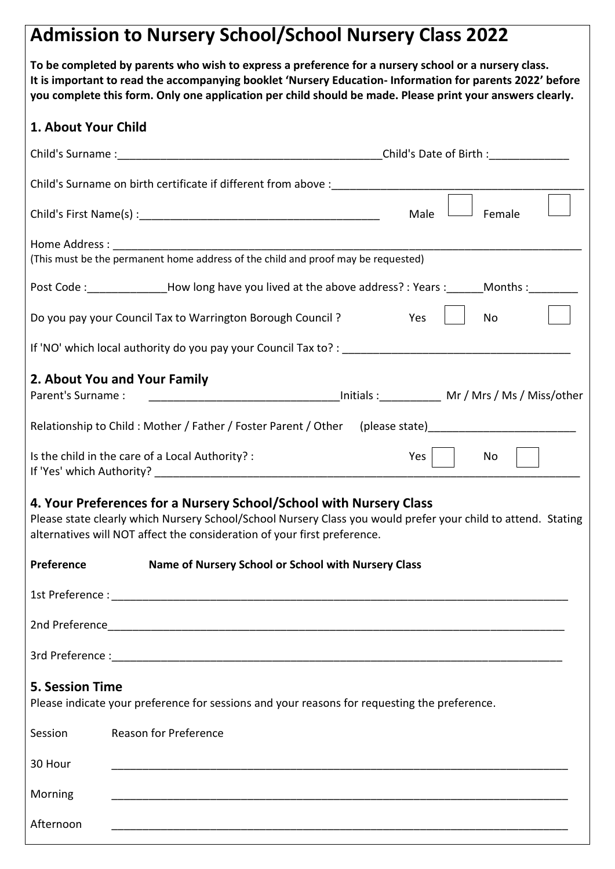# **Admission to Nursery School/School Nursery Class 2022**

**To be completed by parents who wish to express a preference for a nursery school or a nursery class. It is important to read the accompanying booklet 'Nursery Education- Information for parents 2022' before you complete this form. Only one application per child should be made. Please print your answers clearly.**

# **1. About Your Child**

| 1. ADOUL TOUT CHIIU    |                                                                                                                                                                                                                                                                 |  |      |        |  |
|------------------------|-----------------------------------------------------------------------------------------------------------------------------------------------------------------------------------------------------------------------------------------------------------------|--|------|--------|--|
|                        | Child's Surname: Child's Date of Birth:                                                                                                                                                                                                                         |  |      |        |  |
|                        |                                                                                                                                                                                                                                                                 |  |      |        |  |
|                        |                                                                                                                                                                                                                                                                 |  | Male | Female |  |
|                        |                                                                                                                                                                                                                                                                 |  |      |        |  |
|                        | (This must be the permanent home address of the child and proof may be requested)                                                                                                                                                                               |  |      |        |  |
|                        | Post Code : ________________How long have you lived at the above address? : Years : ______Months : ________                                                                                                                                                     |  |      |        |  |
|                        | Do you pay your Council Tax to Warrington Borough Council ?                                                                                                                                                                                                     |  | Yes  | No     |  |
|                        |                                                                                                                                                                                                                                                                 |  |      |        |  |
|                        | 2. About You and Your Family                                                                                                                                                                                                                                    |  |      |        |  |
| Parent's Surname :     |                                                                                                                                                                                                                                                                 |  |      |        |  |
|                        | Relationship to Child: Mother / Father / Foster Parent / Other (please state) _____________________                                                                                                                                                             |  |      |        |  |
|                        | Is the child in the care of a Local Authority? :                                                                                                                                                                                                                |  | Yes  | No     |  |
|                        | 4. Your Preferences for a Nursery School/School with Nursery Class<br>Please state clearly which Nursery School/School Nursery Class you would prefer your child to attend. Stating<br>alternatives will NOT affect the consideration of your first preference. |  |      |        |  |
| Preference             | Name of Nursery School or School with Nursery Class                                                                                                                                                                                                             |  |      |        |  |
|                        |                                                                                                                                                                                                                                                                 |  |      |        |  |
|                        |                                                                                                                                                                                                                                                                 |  |      |        |  |
|                        |                                                                                                                                                                                                                                                                 |  |      |        |  |
| <b>5. Session Time</b> | Please indicate your preference for sessions and your reasons for requesting the preference.                                                                                                                                                                    |  |      |        |  |
| Session                | <b>Reason for Preference</b>                                                                                                                                                                                                                                    |  |      |        |  |
| 30 Hour                |                                                                                                                                                                                                                                                                 |  |      |        |  |
| Morning                |                                                                                                                                                                                                                                                                 |  |      |        |  |
| Afternoon              |                                                                                                                                                                                                                                                                 |  |      |        |  |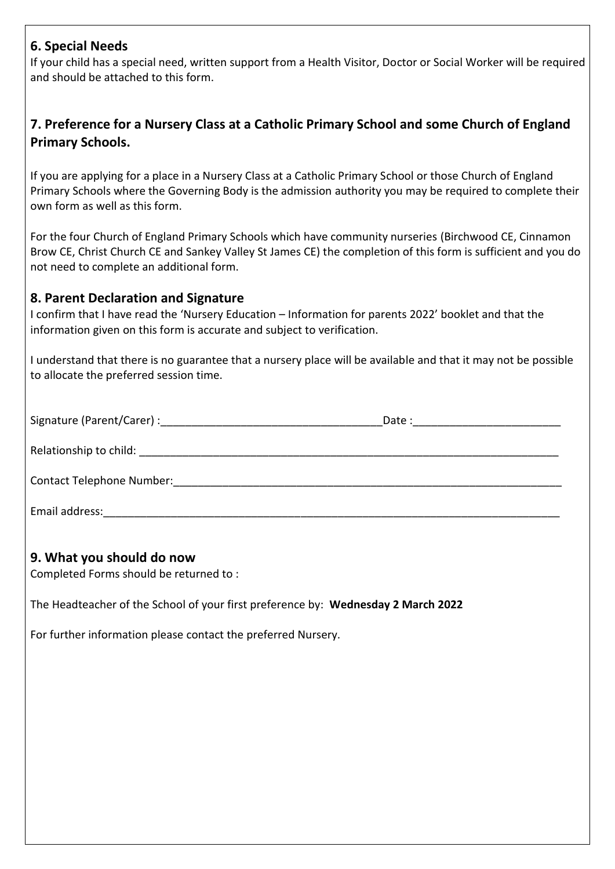## **6. Special Needs**

If your child has a special need, written support from a Health Visitor, Doctor or Social Worker will be required and should be attached to this form.

# **7. Preference for a Nursery Class at a Catholic Primary School and some Church of England Primary Schools.**

If you are applying for a place in a Nursery Class at a Catholic Primary School or those Church of England Primary Schools where the Governing Body is the admission authority you may be required to complete their own form as well as this form.

For the four Church of England Primary Schools which have community nurseries (Birchwood CE, Cinnamon Brow CE, Christ Church CE and Sankey Valley St James CE) the completion of this form is sufficient and you do not need to complete an additional form.

## **8. Parent Declaration and Signature**

I confirm that I have read the 'Nursery Education – Information for parents 2022' booklet and that the information given on this form is accurate and subject to verification.

I understand that there is no guarantee that a nursery place will be available and that it may not be possible to allocate the preferred session time.

| Signature (Parent/Carer) : will be a set of the set of the set of the set of the set of the set of the set of the set of the set of the set of the set of the set of the set of the set of the set of the set of the set of th | Date: <u>_______</u> _____ |
|--------------------------------------------------------------------------------------------------------------------------------------------------------------------------------------------------------------------------------|----------------------------|
| Relationship to child: The contract of the contract of the contract of the contract of the contract of the contract of the contract of the contract of the contract of the contract of the contract of the contract of the con |                            |
| Contact Telephone Number: Contact Telephone Number:                                                                                                                                                                            |                            |
| Email address:                                                                                                                                                                                                                 |                            |

## **9. What you should do now**

Completed Forms should be returned to :

The Headteacher of the School of your first preference by: **Wednesday 2 March 2022**

For further information please contact the preferred Nursery.